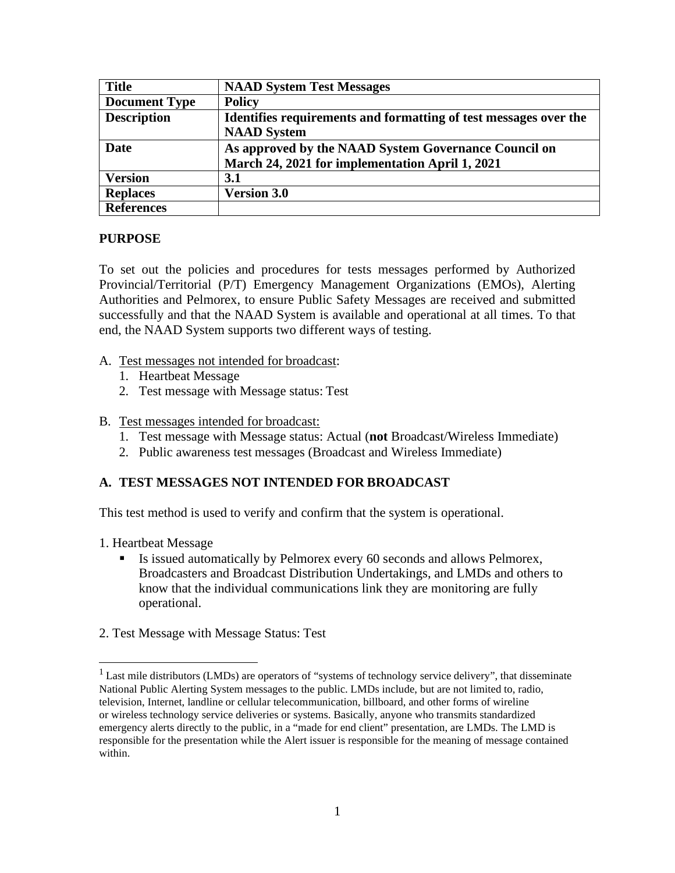| <b>Title</b>         | <b>NAAD System Test Messages</b>                                 |
|----------------------|------------------------------------------------------------------|
| <b>Document Type</b> | <b>Policy</b>                                                    |
| <b>Description</b>   | Identifies requirements and formatting of test messages over the |
|                      | <b>NAAD</b> System                                               |
| <b>Date</b>          | As approved by the NAAD System Governance Council on             |
|                      | March 24, 2021 for implementation April 1, 2021                  |
| <b>Version</b>       | 3.1                                                              |
| <b>Replaces</b>      | <b>Version 3.0</b>                                               |
| <b>References</b>    |                                                                  |

#### **PURPOSE**

To set out the policies and procedures for tests messages performed by Authorized Provincial/Territorial (P/T) Emergency Management Organizations (EMOs), Alerting Authorities and Pelmorex, to ensure Public Safety Messages are received and submitted successfully and that the NAAD System is available and operational at all times. To that end, the NAAD System supports two different ways of testing.

- A. Test messages not intended for broadcast:
	- 1. Heartbeat Message
	- 2. Test message with Message status: Test

#### B. Test messages intended for broadcast:

- 1. Test message with Message status: Actual (**not** Broadcast/Wireless Immediate)
- 2. Public awareness test messages (Broadcast and Wireless Immediate)

### **A. TEST MESSAGES NOT INTENDED FOR BROADCAST**

This test method is used to verify and confirm that the system is operational.

- 1. Heartbeat Message
	- Is issued automatically by Pelmorex every 60 seconds and allows Pelmorex, Broadcasters and Broadcast Distribution Undertakings, and LMDs and others to know that the individual communications link they are monitoring are fully operational.
- 2. Test Message with Message Status: Test

<sup>&</sup>lt;sup>1</sup> Last mile distributors (LMDs) are operators of "systems of technology service delivery", that disseminate National Public Alerting System messages to the public. LMDs include, but are not limited to, radio, television, Internet, landline or cellular telecommunication, billboard, and other forms of wireline or wireless technology service deliveries or systems. Basically, anyone who transmits standardized emergency alerts directly to the public, in a "made for end client" presentation, are LMDs. The LMD is responsible for the presentation while the Alert issuer is responsible for the meaning of message contained within.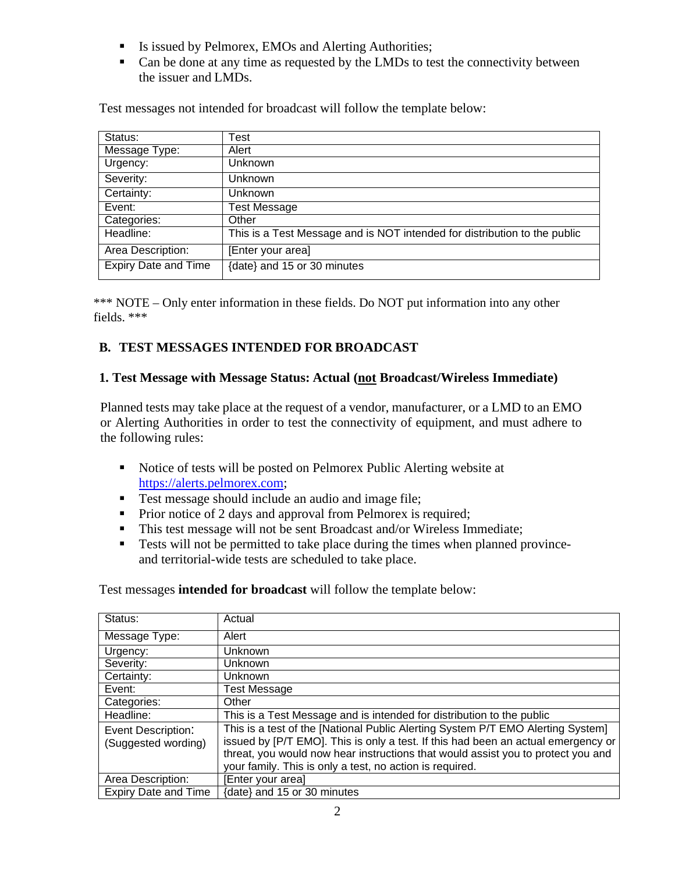- Is issued by Pelmorex, EMOs and Alerting Authorities;
- Can be done at any time as requested by the LMDs to test the connectivity between the issuer and LMDs.

| Test messages not intended for broadcast will follow the template below: |  |  |
|--------------------------------------------------------------------------|--|--|
|                                                                          |  |  |

| Status:                     | Test                                                                      |
|-----------------------------|---------------------------------------------------------------------------|
| Message Type:               | Alert                                                                     |
| Urgency:                    | Unknown                                                                   |
| Severity:                   | Unknown                                                                   |
| Certainty:                  | <b>Unknown</b>                                                            |
| Event:                      | <b>Test Message</b>                                                       |
| Categories:                 | Other                                                                     |
| Headline:                   | This is a Test Message and is NOT intended for distribution to the public |
| Area Description:           | [Enter your area]                                                         |
| <b>Expiry Date and Time</b> | {date} and 15 or 30 minutes                                               |

\*\*\* NOTE – Only enter information in these fields. Do NOT put information into any other fields. \*\*\*

# **B. TEST MESSAGES INTENDED FOR BROADCAST**

#### **1. Test Message with Message Status: Actual (not Broadcast/Wireless Immediate)**

Planned tests may take place at the request of a vendor, manufacturer, or a LMD to an EMO or Alerting Authorities in order to test the connectivity of equipment, and must adhere to the following rules:

- Notice of tests will be posted on Pelmorex Public Alerting website at [https://alerts.pelmorex.com;](https://alerts.pelmorex.com/)
- Test message should include an audio and image file;
- Prior notice of 2 days and approval from Pelmorex is required;
- This test message will not be sent Broadcast and/or Wireless Immediate;
- Tests will not be permitted to take place during the times when planned provinceand territorial-wide tests are scheduled to take place.

Test messages **intended for broadcast** will follow the template below:

| Status:                                          | Actual                                                                                                                                                                                                                                                                                                               |
|--------------------------------------------------|----------------------------------------------------------------------------------------------------------------------------------------------------------------------------------------------------------------------------------------------------------------------------------------------------------------------|
| Message Type:                                    | Alert                                                                                                                                                                                                                                                                                                                |
| Urgency:                                         | <b>Unknown</b>                                                                                                                                                                                                                                                                                                       |
| Severity:                                        | <b>Unknown</b>                                                                                                                                                                                                                                                                                                       |
| Certainty:                                       | Unknown                                                                                                                                                                                                                                                                                                              |
| Event:                                           | <b>Test Message</b>                                                                                                                                                                                                                                                                                                  |
| Categories:                                      | Other                                                                                                                                                                                                                                                                                                                |
| Headline:                                        | This is a Test Message and is intended for distribution to the public                                                                                                                                                                                                                                                |
| <b>Event Description:</b><br>(Suggested wording) | This is a test of the [National Public Alerting System P/T EMO Alerting System]<br>issued by [P/T EMO]. This is only a test. If this had been an actual emergency or<br>threat, you would now hear instructions that would assist you to protect you and<br>your family. This is only a test, no action is required. |
| Area Description:                                | [Enter your area]                                                                                                                                                                                                                                                                                                    |
| <b>Expiry Date and Time</b>                      | {date} and 15 or 30 minutes                                                                                                                                                                                                                                                                                          |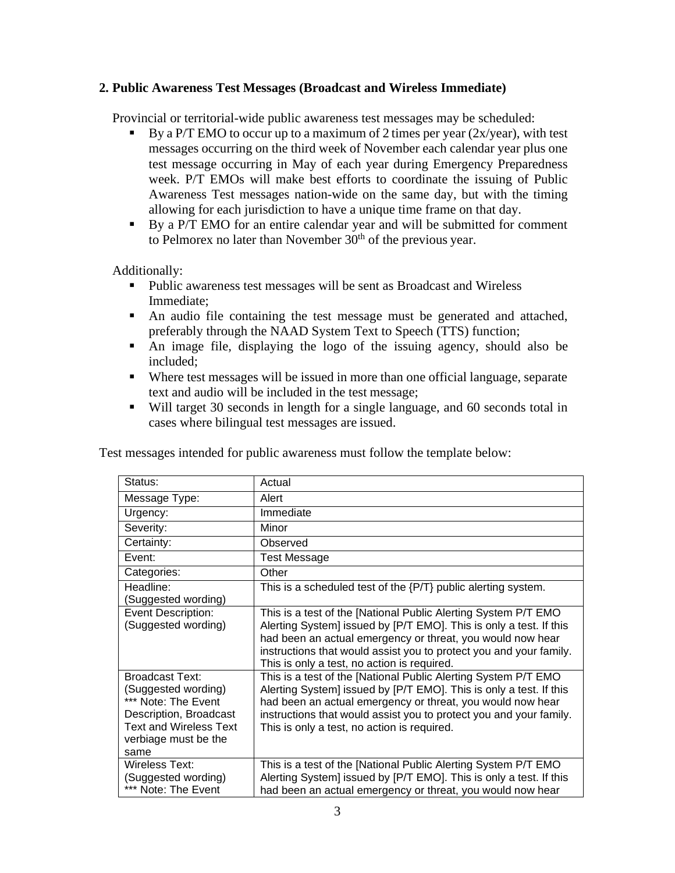#### **2. Public Awareness Test Messages (Broadcast and Wireless Immediate)**

Provincial or territorial-wide public awareness test messages may be scheduled:

- By a P/T EMO to occur up to a maximum of 2 times per year  $(2x/year)$ , with test messages occurring on the third week of November each calendar year plus one test message occurring in May of each year during Emergency Preparedness week. P/T EMOs will make best efforts to coordinate the issuing of Public Awareness Test messages nation-wide on the same day, but with the timing allowing for each jurisdiction to have a unique time frame on that day.
- By a P/T EMO for an entire calendar year and will be submitted for comment to Pelmorex no later than November  $30<sup>th</sup>$  of the previous year.

Additionally:

- Public awareness test messages will be sent as Broadcast and Wireless Immediate;
- An audio file containing the test message must be generated and attached, preferably through the NAAD System Text to Speech (TTS) function;
- An image file, displaying the logo of the issuing agency, should also be included;
- Where test messages will be issued in more than one official language, separate text and audio will be included in the test message;
- Will target 30 seconds in length for a single language, and 60 seconds total in cases where bilingual test messages are issued.

| Status:                                                                                                                                                         | Actual                                                                                                                                                                                                                                                                                                                  |
|-----------------------------------------------------------------------------------------------------------------------------------------------------------------|-------------------------------------------------------------------------------------------------------------------------------------------------------------------------------------------------------------------------------------------------------------------------------------------------------------------------|
| Message Type:                                                                                                                                                   | Alert                                                                                                                                                                                                                                                                                                                   |
| Urgency:                                                                                                                                                        | Immediate                                                                                                                                                                                                                                                                                                               |
| Severity:                                                                                                                                                       | Minor                                                                                                                                                                                                                                                                                                                   |
| Certainty:                                                                                                                                                      | Observed                                                                                                                                                                                                                                                                                                                |
| Event:                                                                                                                                                          | Test Message                                                                                                                                                                                                                                                                                                            |
| Categories:                                                                                                                                                     | Other                                                                                                                                                                                                                                                                                                                   |
| Headline:<br>(Suggested wording)                                                                                                                                | This is a scheduled test of the {P/T} public alerting system.                                                                                                                                                                                                                                                           |
| Event Description:<br>(Suggested wording)                                                                                                                       | This is a test of the [National Public Alerting System P/T EMO<br>Alerting System] issued by [P/T EMO]. This is only a test. If this<br>had been an actual emergency or threat, you would now hear<br>instructions that would assist you to protect you and your family.<br>This is only a test, no action is required. |
| <b>Broadcast Text:</b><br>(Suggested wording)<br>*** Note: The Event<br>Description, Broadcast<br><b>Text and Wireless Text</b><br>verbiage must be the<br>same | This is a test of the [National Public Alerting System P/T EMO<br>Alerting System] issued by [P/T EMO]. This is only a test. If this<br>had been an actual emergency or threat, you would now hear<br>instructions that would assist you to protect you and your family.<br>This is only a test, no action is required. |
| Wireless Text:<br>(Suggested wording)<br>*** Note: The Event                                                                                                    | This is a test of the [National Public Alerting System P/T EMO<br>Alerting System] issued by [P/T EMO]. This is only a test. If this<br>had been an actual emergency or threat, you would now hear                                                                                                                      |

Test messages intended for public awareness must follow the template below: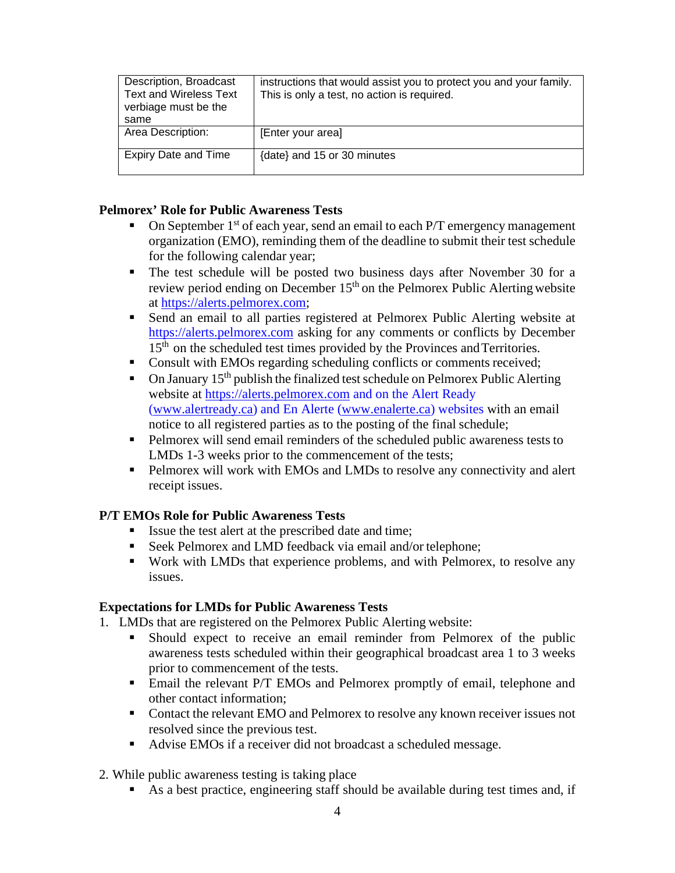| Description, Broadcast<br><b>Text and Wireless Text</b><br>verbiage must be the<br>same | instructions that would assist you to protect you and your family.<br>This is only a test, no action is required. |
|-----------------------------------------------------------------------------------------|-------------------------------------------------------------------------------------------------------------------|
| Area Description:                                                                       | [Enter your area]                                                                                                 |
| <b>Expiry Date and Time</b>                                                             | {date} and 15 or 30 minutes                                                                                       |

#### **Pelmorex' Role for Public Awareness Tests**

- On September  $1<sup>st</sup>$  of each year, send an email to each P/T emergency management organization (EMO), reminding them of the deadline to submit their test schedule for the following calendar year;
- The test schedule will be posted two business days after November 30 for a review period ending on December  $15<sup>th</sup>$  on the Pelmorex Public Alerting website at [https://alerts.pelmorex.com;](https://alerts.pelmorex.com/)
- Send an email to all parties registered at Pelmorex Public Alerting website at [https://alerts.pelmorex.com](https://alerts.pelmorex.com/) asking for any comments or conflicts by December 15<sup>th</sup> on the scheduled test times provided by the Provinces and Territories.
- Consult with EMOs regarding scheduling conflicts or comments received;
- $\blacksquare$  On January 15<sup>th</sup> publish the finalized test schedule on Pelmorex Public Alerting website at [https://alerts.pelmorex.com](https://alerts.pelmorex.com/) and on the Alert Ready [\(www.alertready.ca\)](http://www.alertready.ca/) and En Alerte [\(www.enalerte.ca\)](http://www.enalerte.ca/) websites with an email notice to all registered parties as to the posting of the final schedule;
- Pelmorex will send email reminders of the scheduled public awareness tests to LMDs 1-3 weeks prior to the commencement of the tests;
- Pelmorex will work with EMOs and LMDs to resolve any connectivity and alert receipt issues.

### **P/T EMOs Role for Public Awareness Tests**

- Issue the test alert at the prescribed date and time;
- Seek Pelmorex and LMD feedback via email and/or telephone;
- Work with LMDs that experience problems, and with Pelmorex, to resolve any issues.

### **Expectations for LMDs for Public Awareness Tests**

- 1. LMDs that are registered on the Pelmorex Public Alerting website:
	- Should expect to receive an email reminder from Pelmorex of the public awareness tests scheduled within their geographical broadcast area 1 to 3 weeks prior to commencement of the tests.
	- Email the relevant P/T EMOs and Pelmorex promptly of email, telephone and other contact information;
	- Contact the relevant EMO and Pelmorex to resolve any known receiver issues not resolved since the previous test.
	- Advise EMOs if a receiver did not broadcast a scheduled message.
- 2. While public awareness testing is taking place
	- As a best practice, engineering staff should be available during test times and, if